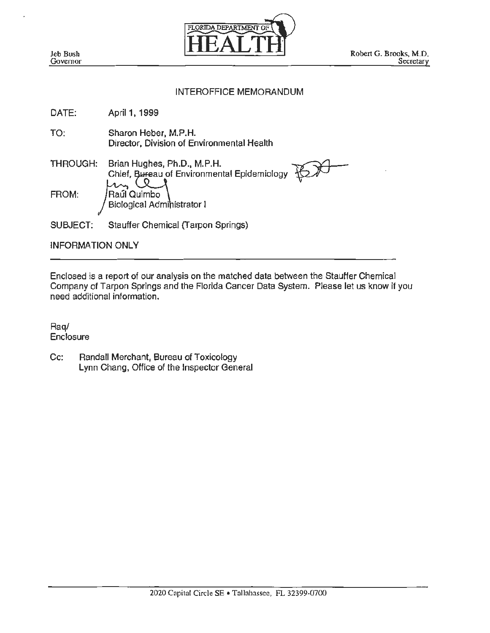

# INTEROFFICE MEMORANDUM

| DATE:           | April 1, 1999                                                              |
|-----------------|----------------------------------------------------------------------------|
| TO:             | Sharon Heber, M.P.H.<br>Director, Division of Environmental Health         |
| <b>THROUGH:</b> | Brian Hughes, Ph.D., M.P.H.<br>Chief, Bureau of Environmental Epidemiology |
| FROM:           | Raúl Quimbo<br>Biological Administrator I                                  |
| SUBJECT:        | Stauffer Chemical (Tarpon Springs)                                         |

INFORMATION ONLY

Enclosed is a report of our analysis on the matched data between the Stauffer Chemical Company of Tarpon Springs and the Florida Cancer Data System. Please let us know if you need additional information.

Raq/ **Enclosure** 

Cc: Randall Merchant, Bureau of Toxicology Lynn Chang, Office of the Inspector General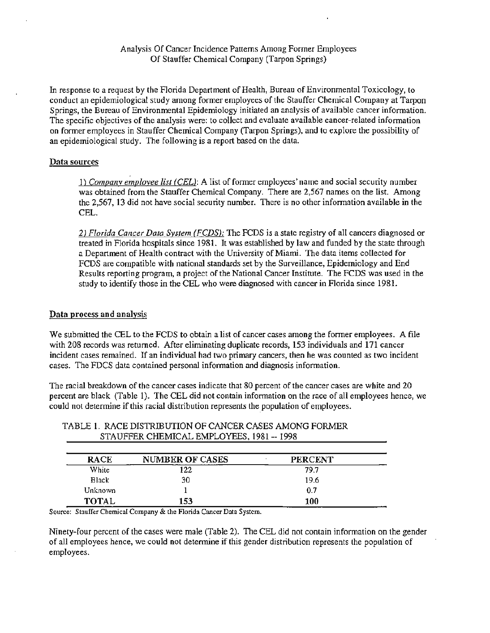# Analysis Of Cancer Incidence Patterns Among Former Employees Of Stauffer Chemical Company (Tarpon Springs)

In response to a request by the Florida Department of Health, Bureau of Environmental Toxicology, to conduct an epidemiological study among former employees of the Stauffer Chemical Company at Tarpon Springs, the Bureau of Environmental Epidemiology initiated an analysis of available cancer information. The specific objectives of the analysis were: to collect and evaluate available cancer-related information on former employees in Stauffer Chemical Company (Tarpon Springs), and to explore the possibility of an epidemiological study. The following is a report based on the data.

# Data sources

1) *Companv employee list (CEL):* A list of former employees' name and social security number was obtained from the Stauffer Chemical Company. There are 2,567 names on the list. Among the 2,567, 13 did not have social security number. There is no other information available in the CEL.

2) *Florida Cancer Data System (FCDS):* The FCDS is a state registry of all cancers diagnosed or treated in Florida hospitals since 1981. It was established by law and funded by the state through a Department of Health contract with the University of Miami. The data items collected for FCDS are compatible with national standards set by the Surveillance, Epidemiology and End Results reporting program, a project of the National Cancer Institute. The FCDS was used in the study to identify those in the CEL who were diagnosed with cancer in Florida since 1981.

### Data process and analysis

We submitted the CEL to the FCDS to obtain a list of cancer cases among the former employees. A file with 208 records was returned. After eliminating duplicate records, 153 individuals and 171 cancer incident cases remained. If an individual had two primary cancers, then he was counted as two incident cases. The FDCS data contained personal information and diagnosis information.

The racial breakdown of the cancer cases indicate that 80 percent of the cancer cases are white and 20 percent are black (Table 1). The CEL did not contain information on the race of all employees hence, we could not determine if this racial distribution represents the population of employees.

| <b>RACE</b>  | <b>NUMBER OF CASES</b> | <b>PERCENT</b> |
|--------------|------------------------|----------------|
| White        | 122                    | 79.7           |
| Black        | 30                     | 19.6           |
| Unknown      |                        | 0.7            |
| <b>TOTAL</b> | 153                    | 100            |

# TABLE I. RACE DISTRIBUTION OF CANCER CASES AMONG FORMER STAUFFER CHEMICAL EMPLOYEES, 1981 -- 1998

Source: Stauffer Chemical Company & the Florida Cancer Data System.

Ninety-four percent of the cases were male (Table 2). The CEL did not contain information on the gender of all employees hence, we could not determine if this gender distribution represents the population of employees.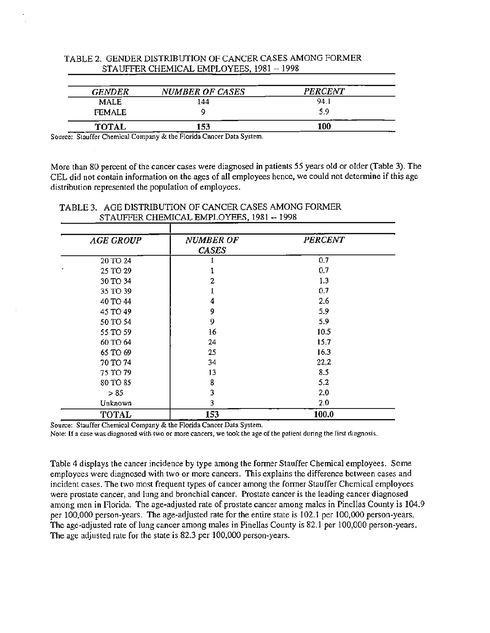| TABLE 2. GENDER DISTRIBUTION OF CANCER CASES AMONG FORMER |
|-----------------------------------------------------------|
| STAUFFER CHEMICAL EMPLOYEES, 1981 -- 1998                 |

| <b>GENDER</b>            | <b>NUMBER OF CASES</b> | <b>PERCENT</b> |
|--------------------------|------------------------|----------------|
| <b>MALE</b>              | 144                    | 94.1           |
| <b>FEMALE</b>            |                        | 5.9            |
| <b>TOTAL</b><br>________ | 153                    | 100            |

Source: Stauffer Chemical Company & the Florida Cancer Data System.

More than 80 percent of the cancer cases were diagnosed in patients 55 years old or older (Table 3). The CEL did not contain information on the ages of all employees hence, we could not determine if this age distribution represented the population of employees.

| <b>AGE GROUP</b> | <b>NUMBER OF</b> | <b>PERCENT</b> |
|------------------|------------------|----------------|
|                  | <b>CASES</b>     |                |
| 20 TO 24         |                  | 0.7            |
| 25 TO 29         |                  | 0.7            |
| 30 TO 34         | 2                | 1.3            |
| 35 TO 39         |                  | 0.7            |
| 40 TO 44         | 4                | 2.6            |
| 45 TO 49         | 9                | 5.9            |
| 50 TO 54         | 9                | 5.9            |
| 55 TO 59         | 16               | 10.5           |
| 60 TO 64         | 24               | 15.7           |
| 65 TO 69         | 25               | 16.3           |
| 70 TO 74         | 34               | 22.2           |
| 75 TO 79         | 13               | 8.5            |
| 80 TO 85         | 8                | 5.2            |
| > 85             | 3                | 2.0            |
| Unknown          | 3                | 2,0            |
| <b>TOTAL</b>     | 153              | 100.0          |

## TABLE 3. AGE DISTRIBUTION OF CANCER CASES AMONG FORMER STAUFFER CHEMICAL EMPLOYEES, 1981 -- 1998

Source: Stauffer Chemical Company & the Florida Cancer Data System.

Note: If a case was diagnosed with two or more cancers, we took the age of the patient during the first diagnosis.

Table 4 displays the cancer incidence by type among the former Stauffer Chemical employees. Some employees were diagnosed with two or more cancers. This explains the difference between cases and incident cases. The two most frequent types of cancer among the former Stauffer Chemical employees were prostate cancer, and lung and bronchial cancer. Prostate cancer is the leading cancer diagnosed among men in Florida. The age-adjusted rate of prostate cancer among males in Pinellas County is 104.9 per 100,000 person-years. The age-adjusted rate for the entire state is 102.1 per 100,000 person-years. The age-adjusted rate of lung cancer among males in Pinellas County is 82.1 per 100,000 person-years. The age adjusted rate for the state is 82.3 per 100,000 person-years.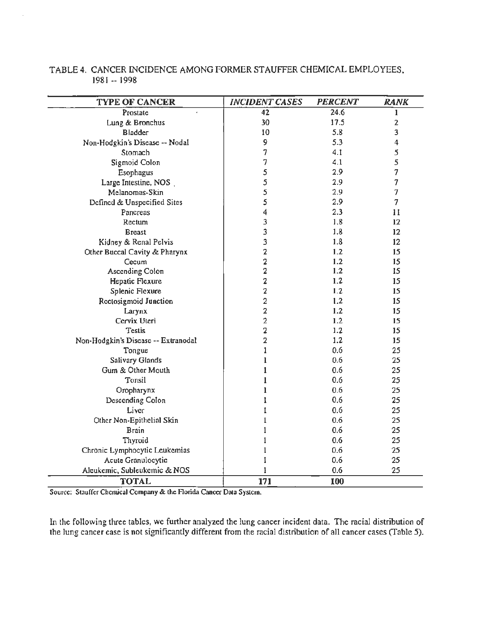| TABLE 4. CANCER INCIDENCE AMONG FORMER STAUFFER CHEMICAL EMPLOYEES. |
|---------------------------------------------------------------------|
| - 1981 -- 1998 -                                                    |

| <b>TYPE OF CANCER</b>               | <b>INCIDENT CASES</b> | <b>PERCENT</b> | <b>RANK</b>             |
|-------------------------------------|-----------------------|----------------|-------------------------|
| Prostate                            | 42                    | 24.6           | 1                       |
| Lung & Bronchus                     | 30                    | 17.5           | $\overline{2}$          |
| <b>Bladder</b>                      | 10                    | 5.8            | 3                       |
| Non-Hodgkin's Disease -- Nodal      | 9                     | 5.3            | $\overline{\mathbf{4}}$ |
| Stomach                             | 7                     | 4.1            | 5                       |
| Sigmoid Colon                       | 7                     | 4.1            | 5                       |
| Esophagus                           | 5                     | 2.9            | 7                       |
| Large Intestine, NOS.               | 5                     | 2.9            | 7                       |
| Melanomas-Skin                      | 5                     | 2.9            | 7                       |
| Defined & Unspecified Sites         | 5                     | 2.9            | 7                       |
| Pancreas                            | 4                     | 2.3            | 11                      |
| Rectum                              | 3                     | 1.8            | 12                      |
| <b>Breast</b>                       | 3                     | 1.8            | 12                      |
| Kidney & Renal Pelvis               | 3                     | 1.8            | 12                      |
| Other Buccal Cavity & Pharynx       | 2                     | 1.2            | 15                      |
| Cecum                               | 2                     | 1.2            | 15                      |
| <b>Ascending Colon</b>              | 2                     | 1.2            | 15                      |
| Hepatic Flexure                     | 2                     | 1.2            | 15                      |
| <b>Splenic Flexure</b>              | 2                     | 1.2            | 15                      |
| Rectosigmoid Junction               | 2                     | 1.2            | 15                      |
| Larynx                              | $\overline{2}$        | 1.2            | 15                      |
| Cervix Uteri                        | $\overline{2}$        | 1.2            | 15                      |
| Testis                              | $\overline{2}$        | 1.2            | 15                      |
| Non-Hodgkin's Disease -- Extranodal | 2                     | 1.2            | 15                      |
| Tongue                              | 1                     | 0.6            | 25                      |
| Salivary Glands                     | 1                     | 0.6            | 25                      |
| Gum & Other Mouth                   | 1                     | 0.6            | 25                      |
| Tonsil                              |                       | 0.6            | 25                      |
| Oropharynx                          | ı                     | 0.6            | 25                      |
| Descending Colon                    |                       | 0.6            | 25                      |
| Liver                               |                       | 0.6            | 25                      |
| Other Non-Epithelial Skin           |                       | 0.6            | 25                      |
| <b>Brain</b>                        |                       | 0.6            | 25                      |
| Thyroid                             |                       | 0.6            | 25                      |
| Chronic Lymphocytic Leukemias       |                       | 0.6            | 25                      |
| Acute Granulocytic                  | 1                     | 0.6            | 25                      |
| Aleukemic, Subleukemic & NOS        | ı                     | 0.6            | 25                      |
| <b>TOTAL</b>                        | 171                   | 100            |                         |

Source: Stauffer Chemical Company & the Rorida Cancer Data System.

In the following three tables, we further analyzed the lung cancer incident data. The racial distribution of the lung cancer case is not significantly different from the racial distribution of all cancer cases (Table 5).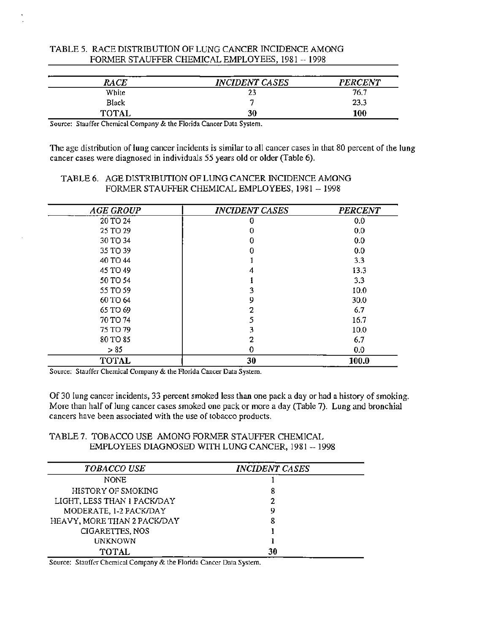| RACE         | <b>INCIDENT CASES</b> | <b>PERCENT</b> |
|--------------|-----------------------|----------------|
| White        | 23                    | 76.7           |
| <b>Black</b> |                       | 23.3           |
| <b>TOTAL</b> | 30                    | 100            |

# TABLE 5. RACE DISTRIBUTION OF LUNG CANCER INCIDENCE AMONG FORMER STAUFFER CHEMICAL EMPLOYEES, 1981 -- 1998

Source: Stauffer Chemical Company & the Florida Cancer Data System.

The age distribution of lung cancer incidents is similar to all cancer cases in that 80 percent of the lung cancer cases were diagnosed in individuals 55 years old or older (Table 6).

### TABLE 6. AGE DISTRIBUTION OF LUNG CANCER INCIDENCE AMONG FORMER STAUFFER CHEMICAL EMPLOYEES, 1981 -- 1998

| <b>AGE GROUP</b> | <b>INCIDENT CASES</b> | <b>PERCENT</b> |
|------------------|-----------------------|----------------|
| 20 TO 24         |                       | 0.0            |
| 25 TO 29         | 0                     | 0.0            |
| 30 TO 34         | 0                     | 0.0            |
| 35 TO 39         |                       | 0.0            |
| 40 TO 44         |                       | 3.3            |
| 45 TO 49         |                       | 13.3           |
| 50 TO 54         |                       | 3.3            |
| 55 TO 59         |                       | 10.0           |
| 60 TO 64         | 9                     | 30.0           |
| 65 TO 69         | 2                     | 6.7            |
| 70 TO 74         |                       | 16.7           |
| 75 TO 79         |                       | 10.0           |
| 80 TO 85         |                       | 6.7            |
| > 85             | 0                     | 0.0            |
| <b>TOTAL</b>     | 30                    | 100.0          |

Source: Stauffer Chemical Company & the Florida Cancer Data System.

Of 30 lung cancer incidents, 33 percent smoked less than one pack a day or had a history of smoking. More than half of lung cancer cases smoked one pack or more a day (Table 7). Lung and bronchial cancers have been associated with the use of tobacco products.

# TABLE 7. TOBACCO USE AMONG FORMER STAUFFER CHEMICAL EMPLOYEES DIAGNOSED WITH LUNG CANCER, 1981 -- 1998

| <b>TOBACCO USE</b>          | <b>INCIDENT CASES</b> |
|-----------------------------|-----------------------|
| <b>NONE</b>                 |                       |
| HISTORY OF SMOKING          |                       |
| LIGHT, LESS THAN 1 PACK/DAY |                       |
| MODERATE, 1-2 PACK/DAY      | 9                     |
| HEAVY, MORE THAN 2 PACK/DAY | 8                     |
| CIGARETTES, NOS             |                       |
| <b>UNKNOWN</b>              |                       |
| TOTAL                       | 30                    |

Source: Stauffer Chemical Company & the Florida Cancer Data System.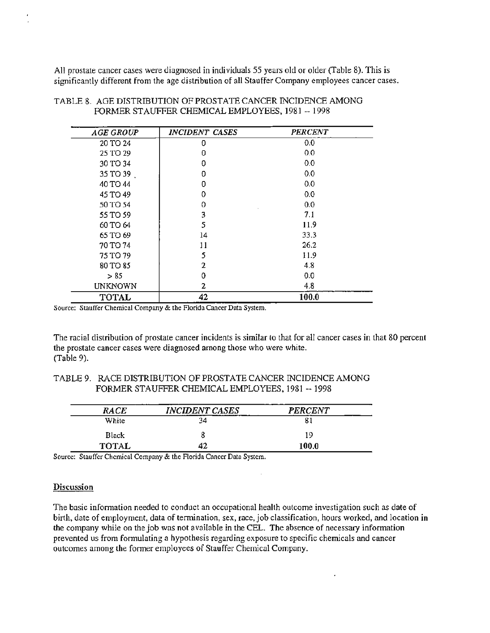All prostate cancer cases were diagnosed in individuals 55 years old or older (Table 8). This is significantly different from the age distribution of all Stauffer Company employees cancer cases.

| <b>AGE GROUP</b> | <b>INCIDENT CASES</b> | <b>PERCENT</b> |
|------------------|-----------------------|----------------|
| 20 TO 24         | 0                     | 0.0            |
| 25 TO 29         | Ð                     | 0.0            |
| 30 TO 34         | 0                     | 0.0            |
| 35 TO 39         | o                     | 0.0            |
| 40 TO 44         | Ð                     | 0.0            |
| 45 TO 49         | 0                     | 0.0            |
| 50 TO 54         | $\Omega$              | 0.0            |
| 55 TO 59         | 3                     | 7.1            |
| 60 TO 64         | 5                     | 11.9           |
| 65 TO 69         | 14                    | 33.3           |
| 70 TO 74         | 11                    | 26.2           |
| 75 TO 79         | 5                     | 11.9           |
| 80 TO 85         | 2                     | 4.8            |
| > 85             | 0                     | 0.0            |
| <b>UNKNOWN</b>   | 2                     | 4.8            |
| <b>TOTAL</b>     | 42                    | 100.0          |

TABLE 8. AGE DISTRIDUTION OF PROSTATE CANCER INCIDENCE AMONG FORMER STAUFFER CHEMICAL EMPLOYEES, 1981 -- 1998

Source: Stauffer Chemical Company & the Florida Cancer Data System.

The racial distribution of prostate cancer incidents is similar to that for all cancer cases in that 80 percent the prostate cancer cases were diagnosed among those who were white. (Table 9).

## TABLE 9. RACE DISTRIDUTION OF PROSTATE CANCER INCIDENCE AMONG FORMER STAUFFER CHEMICAL EMPLOYEES, 1981 -- 1998

| RACE         | <b>INCIDENT CASES</b> | <b>PERCENT</b> |
|--------------|-----------------------|----------------|
| White        | 34                    | о.             |
| <b>Black</b> |                       | 19             |
| <b>TOTAL</b> | 42                    | 100.0          |

Source: Stauffer Chemical Company & the Florida Cancer Data System.

#### Discussion

The basic information needed to conduct an occupational health outcome investigation such as date of birth, date of employment, data of termination, sex, race, job classification, hours worked, and location in the company while on the job was not available in the CEL. The absence of necessary information prevented us from formulating a hypothesis regarding exposure to specific chemicals and cancer outcomes among the former employees of Stauffer Chemical Company.